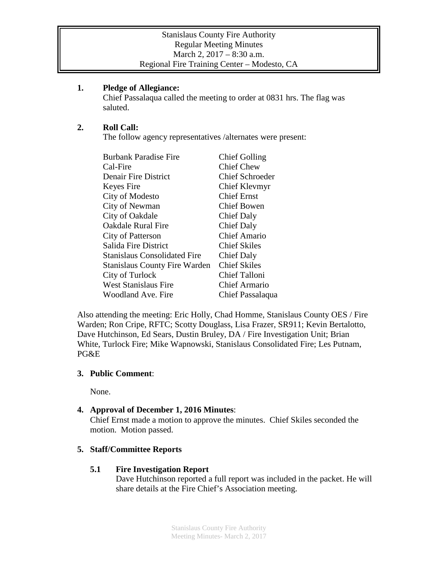#### **1. Pledge of Allegiance:**

Chief Passalaqua called the meeting to order at 0831 hrs. The flag was saluted.

# **2. Roll Call:**

The follow agency representatives /alternates were present:

| <b>Burbank Paradise Fire</b>         | <b>Chief Golling</b>   |
|--------------------------------------|------------------------|
| Cal-Fire                             | <b>Chief Chew</b>      |
| Denair Fire District                 | <b>Chief Schroeder</b> |
| Keyes Fire                           | Chief Klevmyr          |
| City of Modesto                      | <b>Chief Ernst</b>     |
| City of Newman                       | Chief Bowen            |
| City of Oakdale                      | Chief Daly             |
| <b>Oakdale Rural Fire</b>            | <b>Chief Daly</b>      |
| City of Patterson                    | <b>Chief Amario</b>    |
| Salida Fire District                 | <b>Chief Skiles</b>    |
| <b>Stanislaus Consolidated Fire</b>  | <b>Chief Daly</b>      |
| <b>Stanislaus County Fire Warden</b> | <b>Chief Skiles</b>    |
| City of Turlock                      | Chief Talloni          |
| <b>West Stanislaus Fire</b>          | <b>Chief Armario</b>   |
| Woodland Ave. Fire                   | Chief Passalaqua       |

Also attending the meeting: Eric Holly, Chad Homme, Stanislaus County OES / Fire Warden; Ron Cripe, RFTC; Scotty Douglass, Lisa Frazer, SR911; Kevin Bertalotto, Dave Hutchinson, Ed Sears, Dustin Bruley, DA / Fire Investigation Unit; Brian White, Turlock Fire; Mike Wapnowski, Stanislaus Consolidated Fire; Les Putnam, PG&E

## **3. Public Comment**:

None.

## **4. Approval of December 1, 2016 Minutes**:

Chief Ernst made a motion to approve the minutes. Chief Skiles seconded the motion. Motion passed.

## **5. Staff/Committee Reports**

## **5.1 Fire Investigation Report**

Dave Hutchinson reported a full report was included in the packet. He will share details at the Fire Chief's Association meeting.